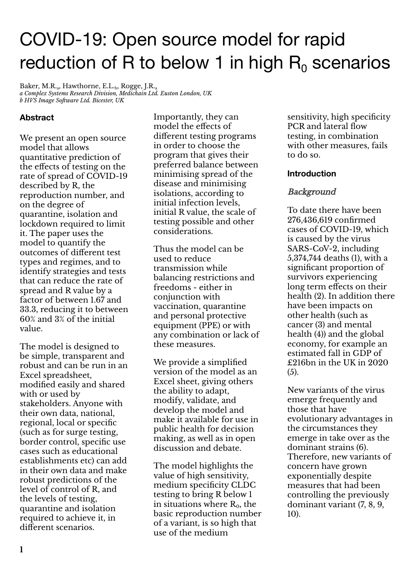# COVID-19: Open source model for rapid reduction of R to below 1 in high  $R_0$  scenarios

Baker, M.R.<sub>a</sub>, Hawthorne, E.L.<sub>b</sub>, Rogge, J.R.<sub>a</sub> *a Complex Systems Research Division, Medichain Ltd. Euston London, UK b HVS Image Software Ltd. Bicester, UK*

# **Abstract**

We present an open source model that allows quantitative prediction of the effects of testing on the rate of spread of COVID-19 described by R, the reproduction number, and on the degree of quarantine, isolation and lockdown required to limit it. The paper uses the model to quantify the outcomes of different test types and regimes, and to identify strategies and tests that can reduce the rate of spread and R value by a factor of between 1.67 and 33.3, reducing it to between 60% and 3% of the initial value.

The model is designed to be simple, transparent and robust and can be run in an Excel spreadsheet, modified easily and shared with or used by stakeholders. Anyone with their own data, national, regional, local or specific (such as for surge testing, border control, specific use cases such as educational establishments etc) can add in their own data and make robust predictions of the level of control of R, and the levels of testing, quarantine and isolation required to achieve it, in different scenarios.

Importantly, they can model the effects of different testing programs in order to choose the program that gives their preferred balance between minimising spread of the disease and minimising isolations, according to initial infection levels, initial R value, the scale of testing possible and other considerations.

Thus the model can be used to reduce transmission while balancing restrictions and freedoms - either in conjunction with vaccination, quarantine and personal protective equipment (PPE) or with any combination or lack of these measures.

We provide a simplified version of the model as an Excel sheet, giving others the ability to adapt, modify, validate, and develop the model and make it available for use in public health for decision making, as well as in open discussion and debate.

The model highlights the value of high sensitivity, medium specificity CLDC testing to bring R below 1 in situations where  $R_0$ , the basic reproduction number of a variant, is so high that use of the medium

sensitivity, high specificity PCR and lateral flow testing, in combination with other measures, fails to do so.

## **Introduction**

## Background

To date there have been 276,436,619 confirmed cases of COVID-19, which is caused by the virus SARS-CoV-2, including 5,374,744 deaths (1), with a significant proportion of survivors experiencing long term effects on their health (2). In addition there have been impacts on other health (such as cancer (3) and mental health (4)) and the global economy, for example an estimated fall in GDP of £216bn in the UK in 2020  $(5)$ 

New variants of the virus emerge frequently and those that have evolutionary advantages in the circumstances they emerge in take over as the dominant strains (6). Therefore, new variants of concern have grown exponentially despite measures that had been controlling the previously dominant variant (7, 8, 9, 10).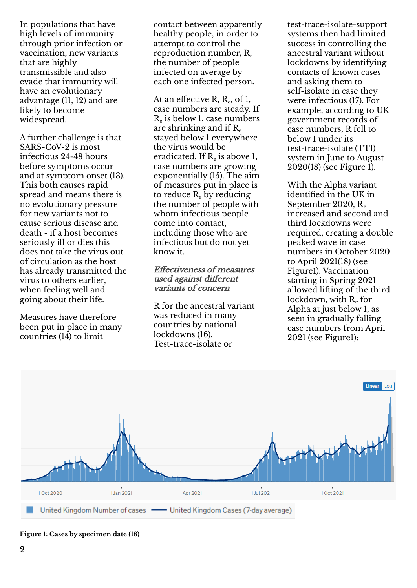In populations that have high levels of immunity through prior infection or vaccination, new variants that are highly transmissible and also evade that immunity will have an evolutionary advantage (11, 12) and are likely to become widespread.

A further challenge is that SARS-CoV-2 is most infectious 24-48 hours before symptoms occur and at symptom onset (13). This both causes rapid spread and means there is no evolutionary pressure for new variants not to cause serious disease and death - if a host becomes seriously ill or dies this does not take the virus out of circulation as the host has already transmitted the virus to others earlier, when feeling well and going about their life.

Measures have therefore been put in place in many countries  $(14)$  to limit

contact between apparently healthy people, in order to attempt to control the reproduction number, R, the number of people infected on average by each one infected person.

At an effective R,  $R_e$ , of 1, case numbers are steady. If R<sup>e</sup> is below 1, case numbers are shrinking and if  $R_e$ stayed below 1 everywhere the virus would be eradicated. If  $R_e$  is above 1, case numbers are growing exponentially (15). The aim of measures put in place is to reduce  $R_e$  by reducing the number of people with whom infectious people come into contact, including those who are infectious but do not yet know it.

Effectiveness of measures used against different variants of concern

R for the ancestral variant was reduced in many countries by national lockdowns (16). Test-trace-isolate or

test-trace-isolate-support systems then had limited success in controlling the ancestral variant without lockdowns by identifying contacts of known cases and asking them to self-isolate in case they were infectious (17). For example, according to UK government records of case numbers, R fell to below 1 under its test-trace-isolate (TTI) system in June to August 2020(18) (see Figure 1).

With the Alpha variant identified in the UK in September 2020, R<sup>e</sup> increased and second and third lockdowns were required, creating a double peaked wave in case numbers in October 2020 to April 2021(18) (see Figure1). Vaccination starting in Spring 2021 allowed lifting of the third lockdown, with  $R<sub>e</sub>$  for Alpha at just below 1, as seen in gradually falling case numbers from April 2021 (see Figure1):



**Figure 1: Cases by specimen date (18)**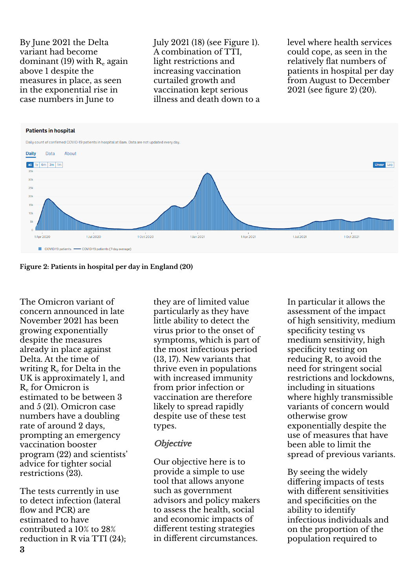By June 2021 the Delta variant had become dominant (19) with  $R_e$  again above 1 despite the measures in place, as seen in the exponential rise in case numbers in June to

July 2021 (18) (see Figure 1). A combination of TTI, light restrictions and increasing vaccination curtailed growth and vaccination kept serious illness and death down to a level where health services could cope, as seen in the relatively flat numbers of patients in hospital per day from August to December 2021 (see figure 2) (20).



#### **Figure 2: Patients in hospital per day in England (20)**

The Omicron variant of concern announced in late November 2021 has been growing exponentially despite the measures already in place against Delta. At the time of writing  $R_{e}$  for Delta in the UK is approximately 1, and R<sup>e</sup> for Omicron is estimated to be between 3 and 5 (21). Omicron case numbers have a doubling rate of around 2 days, prompting an emergency vaccination booster program (22) and scientists' advice for tighter social restrictions (23).

The tests currently in use to detect infection (lateral flow and PCR) are estimated to have contributed a 10% to 28% reduction in R via TTI (24); **3**

they are of limited value particularly as they have little ability to detect the virus prior to the onset of symptoms, which is part of the most infectious period (13, 17). New variants that thrive even in populations with increased immunity from prior infection or vaccination are therefore likely to spread rapidly despite use of these test types.

#### **Objective**

Our objective here is to provide a simple to use tool that allows anyone such as government advisors and policy makers to assess the health, social and economic impacts of different testing strategies in different circumstances.

In particular it allows the assessment of the impact of high sensitivity, medium specificity testing vs medium sensitivity, high specificity testing on reducing R, to avoid the need for stringent social restrictions and lockdowns, including in situations where highly transmissible variants of concern would otherwise grow exponentially despite the use of measures that have been able to limit the spread of previous variants.

By seeing the widely differing impacts of tests with different sensitivities and specificities on the ability to identify infectious individuals and on the proportion of the population required to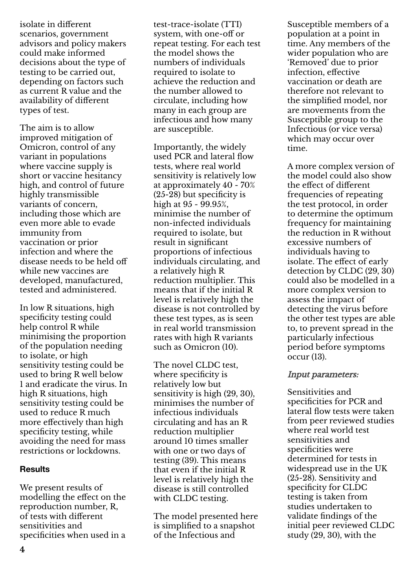isolate in different scenarios, government advisors and policy makers could make informed decisions about the type of testing to be carried out, depending on factors such as current R value and the availability of different types of test.

The aim is to allow improved mitigation of Omicron, control of any variant in populations where vaccine supply is short or vaccine hesitancy high, and control of future highly transmissible variants of concern, including those which are even more able to evade immunity from vaccination or prior infection and where the disease needs to be held off while new vaccines are developed, manufactured, tested and administered.

In low R situations, high specificity testing could help control R while minimising the proportion of the population needing to isolate, or high sensitivity testing could be used to bring R well below 1 and eradicate the virus. In high R situations, high sensitivity testing could be used to reduce R much more effectively than high specificity testing, while avoiding the need for mass restrictions or lockdowns.

## **Results**

We present results of modelling the effect on the reproduction number, R, of tests with different sensitivities and specificities when used in a

test-trace-isolate (TTI) system, with one-off or repeat testing. For each test the model shows the numbers of individuals required to isolate to achieve the reduction and the number allowed to circulate, including how many in each group are infectious and how many are susceptible.

Importantly, the widely used PCR and lateral flow tests, where real world sensitivity is relatively low at approximately 40 - 70% (25-28) but specificity is high at  $95 - 99.95%$ , minimise the number of non-infected individuals required to isolate, but result in significant proportions of infectious individuals circulating, and a relatively high R reduction multiplier. This means that if the initial R level is relatively high the disease is not controlled by these test types, as is seen in real world transmission rates with high R variants such as Omicron (10).

The novel CLDC test, where specificity is relatively low but sensitivity is high (29, 30), minimises the number of infectious individuals circulating and has an R reduction multiplier around 10 times smaller with one or two days of testing (39). This means that even if the initial R level is relatively high the disease is still controlled with CLDC testing.

The model presented here is simplified to a snapshot of the Infectious and

Susceptible members of a population at a point in time. Any members of the wider population who are 'Removed' due to prior infection, effective vaccination or death are therefore not relevant to the simplified model, nor are movements from the Susceptible group to the Infectious (or vice versa) which may occur over time.

A more complex version of the model could also show the effect of different frequencies of repeating the test protocol, in order to determine the optimum frequency for maintaining the reduction in R without excessive numbers of individuals having to isolate. The effect of early detection by CLDC (29, 30) could also be modelled in a more complex version to assess the impact of detecting the virus before the other test types are able to, to prevent spread in the particularly infectious period before symptoms occur (13).

## Input parameters:

Sensitivities and specificities for PCR and lateral flow tests were taken from peer reviewed studies where real world test sensitivities and specificities were determined for tests in widespread use in the UK (25-28). Sensitivity and specificity for CLDC testing is taken from studies undertaken to validate findings of the initial peer reviewed CLDC study  $(29, 30)$ , with the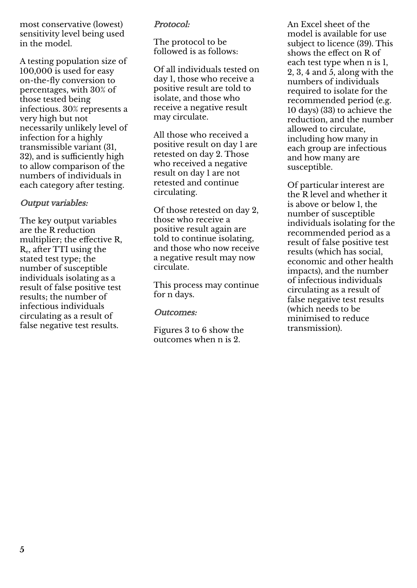most conservative (lowest) sensitivity level being used in the model.

A testing population size of 100,000 is used for easy on-the-fly conversion to percentages, with 30% of those tested being infectious. 30% represents a very high but not necessarily unlikely level of infection for a highly transmissible variant (31, 32), and is sufficiently high to allow comparison of the numbers of individuals in each category after testing.

# Output variables:

The key output variables are the R reduction multiplier; the effective R,  $R_{\rm e}$ , after TTI using the stated test type; the number of susceptible individuals isolating as a result of false positive test results; the number of infectious individuals circulating as a result of false negative test results.

## Protocol:

The protocol to be followed is as follows:

Of all individuals tested on day 1, those who receive a positive result are told to isolate, and those who receive a negative result may circulate.

All those who received a positive result on day 1 are retested on day 2. Those who received a negative result on day 1 are not retested and continue circulating.

Of those retested on day 2, those who receive a positive result again are told to continue isolating, and those who now receive a negative result may now circulate.

This process may continue for n days.

Outcomes:

Figures 3 to 6 show the outcomes when n is 2.

An Excel sheet of the model is available for use subject to licence (39). This shows the effect on R of each test type when n is 1, 2, 3, 4 and  $\overline{5}$ , along with the numbers of individuals required to isolate for the recommended period (e.g. 10 days) (33) to achieve the reduction, and the number allowed to circulate, including how many in each group are infectious and how many are susceptible.

Of particular interest are the R level and whether it is above or below 1, the number of susceptible individuals isolating for the recommended period as a result of false positive test results (which has social, economic and other health impacts), and the number of infectious individuals circulating as a result of false negative test results (which needs to be minimised to reduce transmission).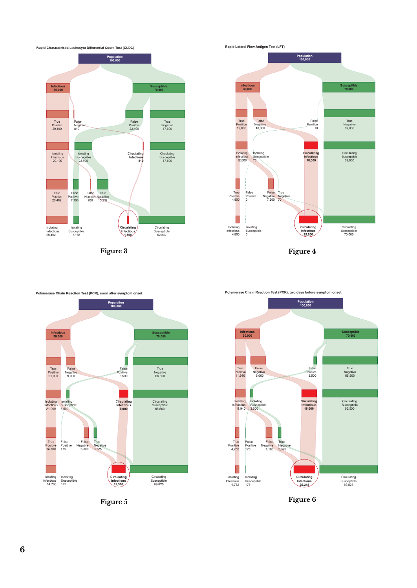

**Figure 3 Figure 4**





Polymerase Chain Reaction Test (PCR), two days before symptom onset

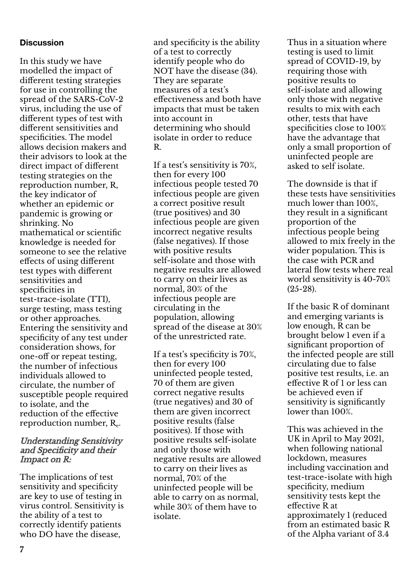## **Discussion**

In this study we have modelled the impact of different testing strategies for use in controlling the spread of the SARS-CoV-2 virus, including the use of different types of test with different sensitivities and specificities. The model allows decision makers and their advisors to look at the direct impact of different testing strategies on the reproduction number, R, the key indicator of whether an epidemic or pandemic is growing or shrinking. No mathematical or scientific knowledge is needed for someone to see the relative effects of using different test types with different sensitivities and specificities in test-trace-isolate (TTI), surge testing, mass testing or other approaches. Entering the sensitivity and specificity of any test under consideration shows, for one-off or repeat testing, the number of infectious individuals allowed to circulate, the number of susceptible people required to isolate, and the reduction of the effective reproduction number,  $R_{e}$ .

#### Understanding Sensitivity and Specificity and their Impact on R:

The implications of test sensitivity and specificity are key to use of testing in virus control. Sensitivity is the ability of a test to correctly identify patients who DO have the disease,

and specificity is the ability of a test to correctly identify people who do NOT have the disease (34). They are separate measures of a test's effectiveness and both have impacts that must be taken into account in determining who should isolate in order to reduce R.

If a test's sensitivity is 70%, then for every 100 infectious people tested 70 infectious people are given a correct positive result (true positives) and 30 infectious people are given incorrect negative results (false negatives). If those with positive results self-isolate and those with negative results are allowed to carry on their lives as normal, 30% of the infectious people are circulating in the population, allowing spread of the disease at 30% of the unrestricted rate.

If a test's specificity is 70%, then for every 100 uninfected people tested, 70 of them are given correct negative results (true negatives) and 30 of them are given incorrect positive results (false positives). If those with positive results self-isolate and only those with negative results are allowed to carry on their lives as normal, 70% of the uninfected people will be able to carry on as normal, while 30% of them have to isolate.

Thus in a situation where testing is used to limit spread of COVID-19, by requiring those with positive results to self-isolate and allowing only those with negative results to mix with each other, tests that have specificities close to 100% have the advantage that only a small proportion of uninfected people are asked to self isolate.

The downside is that if these tests have sensitivities much lower than 100%, they result in a significant proportion of the infectious people being allowed to mix freely in the wider population. This is the case with PCR and lateral flow tests where real world sensitivity is 40-70% (25-28).

If the basic R of dominant and emerging variants is low enough, R can be brought below 1 even if a significant proportion of the infected people are still circulating due to false positive test results, i.e. an effective R of 1 or less can be achieved even if sensitivity is significantly lower than 100%.

This was achieved in the UK in April to May 2021, when following national lockdown, measures including vaccination and test-trace-isolate with high specificity, medium sensitivity tests kept the effective R at approximately 1 (reduced from an estimated basic R of the Alpha variant of 3.4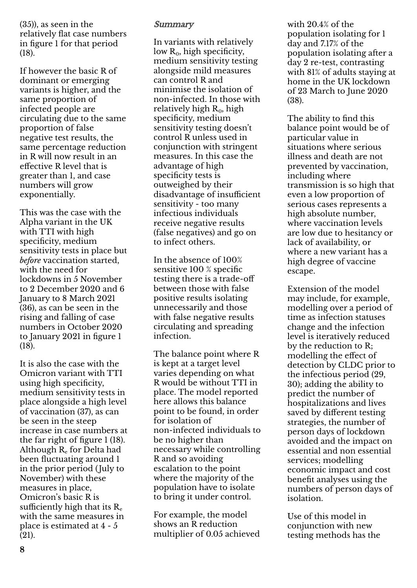(35)), as seen in the relatively flat case numbers in figure 1 for that period (18).

If however the basic R of dominant or emerging variants is higher, and the same proportion of infected people are circulating due to the same proportion of false negative test results, the same percentage reduction in R will now result in an effective R level that is greater than 1, and case numbers will grow exponentially.

This was the case with the Alpha variant in the UK with TTI with high specificity, medium sensitivity tests in place but *before* vaccination started, with the need for lockdowns in 5 November to 2 December 2020 and 6 January to 8 March 2021 (36), as can be seen in the rising and falling of case numbers in October 2020 to January 2021 in figure 1 (18).

It is also the case with the Omicron variant with TTI using high specificity, medium sensitivity tests in place alongside a high level of vaccination (37), as can be seen in the steep increase in case numbers at the far right of figure 1 (18). Although  $R_{e}$  for Delta had been fluctuating around 1 in the prior period (July to November) with these measures in place, Omicron's basic R is sufficiently high that its  $R_e$ with the same measures in place is estimated at 4 - 5 (21).

# **Summary**

In variants with relatively low  $R_0$ , high specificity, medium sensitivity testing alongside mild measures can control R and minimise the isolation of non-infected. In those with relatively high  $R_0$ , high specificity, medium sensitivity testing doesn't control R unless used in conjunction with stringent measures. In this case the advantage of high specificity tests is outweighed by their disadvantage of insufficient sensitivity - too many infectious individuals receive negative results (false negatives) and go on to infect others.

In the absence of 100% sensitive 100 % specific testing there is a trade-off between those with false positive results isolating unnecessarily and those with false negative results circulating and spreading infection.

The balance point where R is kept at a target level varies depending on what R would be without TTI in place. The model reported here allows this balance point to be found, in order for isolation of non-infected individuals to be no higher than necessary while controlling R and so avoiding escalation to the point where the majority of the population have to isolate to bring it under control.

For example, the model shows an R reduction multiplier of 0.05 achieved

with 20.4% of the population isolating for 1 day and 7.17% of the population isolating after a day 2 re-test, contrasting with 81% of adults staying at home in the UK lockdown of 23 March to June 2020 (38).

The ability to find this balance point would be of particular value in situations where serious illness and death are not prevented by vaccination, including where transmission is so high that even a low proportion of serious cases represents a high absolute number, where vaccination levels are low due to hesitancy or lack of availability, or where a new variant has a high degree of vaccine escape.

Extension of the model may include, for example, modelling over a period of time as infection statuses change and the infection level is iteratively reduced by the reduction to R; modelling the effect of detection by CLDC prior to the infectious period (29, 30); adding the ability to predict the number of hospitalizations and lives saved by different testing strategies, the number of person days of lockdown avoided and the impact on essential and non essential services; modelling economic impact and cost benefit analyses using the numbers of person days of isolation.

Use of this model in conjunction with new testing methods has the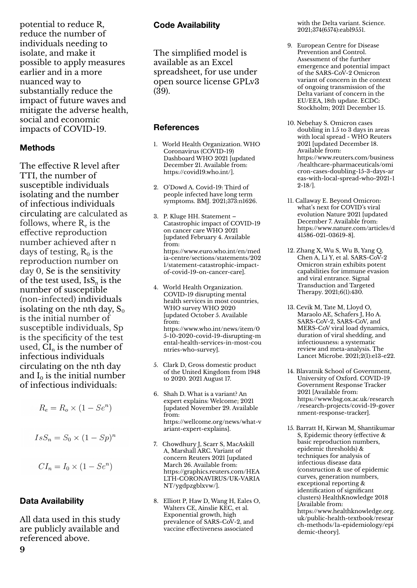potential to reduce R, reduce the number of individuals needing to isolate, and make it possible to apply measures earlier and in a more nuanced way to substantially reduce the impact of future waves and mitigate the adverse health, social and economic impacts of COVID-19.

## **Methods**

The effective R level after TTI, the number of susceptible individuals isolating and the number of infectious individuals circulating are calculated as follows, where  $\rm R_e$  is the effective reproduction number achieved after n days of testing,  $R_0$  is the reproduction number on day 0, Se is the sensitivity of the test used,  $\text{IsS}_{n}$  is the number of susceptible (non-infected) individuals isolating on the nth day,  $S_0$ is the initial number of susceptible individuals, Sp is the specificity of the test used,  $CI_n$  is the number of infectious individuals circulating on the nth day and  $I_0$  is the initial number of infectious individuals:

- $R_e = R_o \times (1 Se^n)$
- $IsS_n = S_0 \times (1 Sp)^n$

$$
CI_n = I_0 \times (1 - Se^n)
$$

#### **Data Availability**

**9**

All data used in this study are publicly available and referenced above.

## **Code Availability**

The simplified model is available as an Excel spreadsheet, for use under open source license GPLv3 (39).

#### **References**

- 1. World Health Organization. WHO Coronavirus (COVID-19) Dashboard WHO 2021 [updated December 21. Available from: https://covid19.who.int/].
- 2. O'Dowd A. Covid-19: Third of people infected have long term symptoms. BMJ. 2021;373:n1626.
- 3. P. Kluge HH. Statement Catastrophic impact of COVID-19 on cancer care WHO 2021 [updated February 4. Available from: https://www.euro.who.int/en/med ia-centre/sections/statements/202 1/statement-catastrophic-impactof-covid-19-on-cancer-care].
- 4. World Health Organization. COVID-19 disrupting mental health services in most countries, WHO survey WHO 2020 [updated October 5. Available from: https://www.who.int/news/item/0 5-10-2020-covid-19-disrupting-m ental-health-services-in-most-cou ntries-who-survey].
- 5. Clark D, Gross domestic product of the United Kingdom from 1948 to 2020. 2021 August 17.
- 6. Shah D. What is a variant? An expert explains: Welcome; 2021 [updated November 29. Available from: https://wellcome.org/news/what-v ariant-expert-explains].
- 7. Chowdhury J, Scarr S, MacAskill A, Marshall ARC. Variant of concern Reuters 2021 [updated March 26. Available from: https://graphics.reuters.com/HEA LTH-CORONAVIRUS/UK-VARIA NT/ygdpzgblxvw/].
- 8. Elliott P, Haw D, Wang H, Eales O, Walters CE, Ainslie KEC, et al. Exponential growth, high prevalence of SARS-CoV-2, and vaccine effectiveness associated

with the Delta variant. Science. 2021;374(6574):eabl9551.

- 9. European Centre for Disease Prevention and Control. Assessment of the further emergence and potential impact of the SARS-CoV-2 Omicron variant of concern in the context of ongoing transmission of the Delta variant of concern in the EU/EEA, 18th update. ECDC: Stockholm; 2021 December 15.
- 10. Nebehay S. Omicron cases doubling in 1.5 to 3 days in areas with local spread - WHO Reuters 2021 [updated December 18. Available from: https://www.reuters.com/business /healthcare-pharmaceuticals/omi cron-cases-doubling-15-3-days-ar eas-with-local-spread-who-2021-1 2-18/].
- 11. Callaway E. Beyond Omicron: what's next for COVID's viral evolution Nature 2021 [updated December 7. Available from: https://www.nature.com/articles/d 41586-021-03619-8].
- 12. Zhang X, Wu S, Wu B, Yang Q, Chen A, Li Y, et al. SARS-CoV-2 Omicron strain exhibits potent capabilities for immune evasion and viral entrance. Signal Transduction and Targeted Therapy. 2021;6(1):430.
- 13. Cevik M, Tate M, Lloyd O, Maraolo AE, Schafers J, Ho A. SARS-CoV-2, SARS-CoV, and MERS-CoV viral load dynamics, duration of viral shedding, and infectiousness: a systematic review and meta-analysis. The Lancet Microbe. 2021;2(1):e13-e22.
- 14. Blavatnik School of Government, University of Oxford. COVID-19 Government Response Tracker 2021 [Available from: https://www.bsg.ox.ac.uk/research /research-projects/covid-19-gover nment-response-tracker].
- 15. Barratt H, Kirwan M, Shantikumar S, Epidemic theory (effective & basic reproduction numbers, epidemic thresholds) & techniques for analysis of infectious disease data (construction & use of epidemic curves, generation numbers, exceptional reporting & identification of significant clusters) HealthKnowledge 2018 [Available from: https://www.healthknowledge.org. uk/public-health-textbook/resear ch-methods/1a-epidemiology/epi demic-theory].